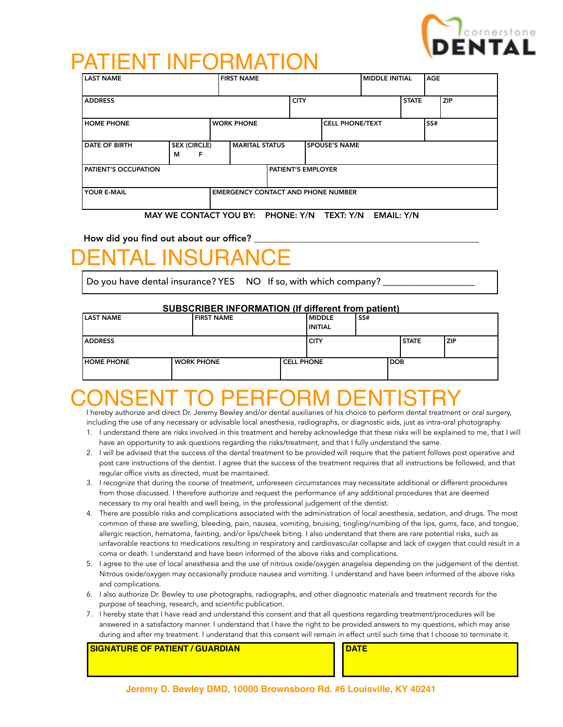

### PATIENT INFORMATION

| <b>LAST NAME</b><br><b>FIRST NAME</b>                    |                               |  |                           |  |  |                        | <b>IMIDDLE INITIAL</b> |  | <b>AGE</b> |     |  |
|----------------------------------------------------------|-------------------------------|--|---------------------------|--|--|------------------------|------------------------|--|------------|-----|--|
| <b>ADDRESS</b>                                           |                               |  | <b>CITY</b>               |  |  |                        | <b>STATE</b>           |  | <b>ZIP</b> |     |  |
| <b>HOME PHONE</b>                                        |                               |  | <b>WORK PHONE</b>         |  |  | <b>CELL PHONE/TEXT</b> |                        |  |            | SS# |  |
| DATE OF BIRTH                                            | <b>SEX (CIRCLE)</b><br>F<br>М |  | <b>MARITAL STATUS</b>     |  |  |                        | <b>SPOUSE'S NAME</b>   |  |            |     |  |
| <b>PATIENT'S OCCUPATION</b>                              |                               |  | <b>PATIENT'S EMPLOYER</b> |  |  |                        |                        |  |            |     |  |
| YOUR E-MAIL<br><b>EMERGENCY CONTACT AND PHONE NUMBER</b> |                               |  |                           |  |  |                        |                        |  |            |     |  |

#### MAY WE CONTACT YOU BY: PHONE: Y/N TEXT: Y/N EMAIL: Y/N

How did you find out about our office?

## INSURAN

Do you have dental insurance? YES NO If so, with which company?

#### **SUBSCRIBER INFORMATION (If different from patient)**

| <b>ILAST NAME</b> | <b>FIRST NAME</b> |                   | l MIDDLE<br>I INITIAL | SS# |            |              |       |
|-------------------|-------------------|-------------------|-----------------------|-----|------------|--------------|-------|
| <b>LADDRESS</b>   |                   |                   | I CITY                |     |            | <b>STATE</b> | l ZIP |
| <b>HOME PHONE</b> | <b>WORK PHONE</b> | <b>CELL PHONE</b> |                       |     | <b>DOB</b> |              |       |

## NSENT TO PERFORM DEI

I hereby authorize and direct Dr. Jeremy Bewley and/or dental auxiliaries of his choice to perform dental treatment or oral surgery, including the use of any necessary or advisable local anesthesia, radiographs, or diagnostic aids, just as intra-oral photography.

- 1. I understand there are risks involved in this treatment and hereby acknowledge that these risks will be explained to me, that I will have an opportunity to ask questions regarding the risks/treatment, and that I fully understand the same.
- 2. I will be advised that the success of the dental treatment to be provided will require that the patient follows post operative and post care instructions of the dentist. I agree that the success of the treatment requires that all instructions be followed, and that regular office visits as directed, must be maintained.
- 3. I recognize that during the course of treatment, unforeseen circumstances may necessitate additional or different procedures from those discussed. I therefore authorize and request the performance of any additional procedures that are deemed necessary to my oral health and well being, in the professional judgement of the dentist.
- 4. There are possible risks and complications associated with the administration of local anesthesia, sedation, and drugs. The most common of these are swelling, bleeding, pain, nausea, vomiting, bruising, tingling/numbing of the lips, gums, face, and tongue, allergic reaction, hematoma, fainting, and/or lips/cheek biting. I also understand that there are rare potential risks, such as unfavorable reactions to medications resulting in respiratory and cardiovascular collapse and lack of oxygen that could result in a coma or death. I understand and have been informed of the above risks and complications.
- 5. I agree to the use of local anesthesia and the use of nitrous oxide/oxygen anagelsia depending on the judgement of the dentist. Nitrous oxide/oxygen may occasionally produce nausea and vomiting. I understand and have been informed of the above risks and complications.
- 6. I also authorize Dr. Bewley to use photographs, radiographs, and other diagnostic materials and treatment records for the purpose of teaching, research, and scientific publication.
- 7. I hereby state that I have read and understand this consent and that all questions regarding treatment/procedures will be answered in a satisfactory manner. I understand that I have the right to be provided answers to my questions, which may arise during and after my treatment. I understand that this consent will remain in effect until such time that I choose to terminate it.

**SIGNATURE OF PATIENT / GUARDIAN DATE**

**Jeremy D. Bewley DMD, 10000 Brownsboro Rd. #6 Louisville, KY 40241**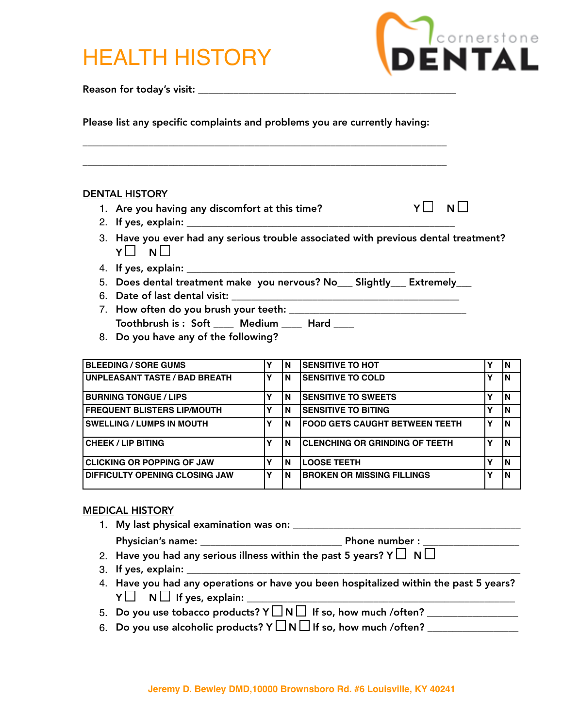# HEALTH HISTORY



Reason for today's visit: \_\_\_\_\_\_\_\_\_\_\_\_\_\_\_\_\_\_\_\_\_\_\_\_\_\_\_\_\_\_\_\_\_\_\_\_\_\_\_\_\_\_\_\_\_\_\_\_\_\_\_

Please list any specific complaints and problems you are currently having:

\_\_\_\_\_\_\_\_\_\_\_\_\_\_\_\_\_\_\_\_\_\_\_\_\_\_\_\_\_\_\_\_\_\_\_\_\_\_\_\_\_\_\_\_\_\_\_\_\_\_\_\_\_\_\_\_\_\_\_\_\_\_\_\_\_\_\_\_\_\_\_\_

\_\_\_\_\_\_\_\_\_\_\_\_\_\_\_\_\_\_\_\_\_\_\_\_\_\_\_\_\_\_\_\_\_\_\_\_\_\_\_\_\_\_\_\_\_\_\_\_\_\_\_\_\_\_\_\_\_\_\_\_\_\_\_\_\_\_\_\_\_\_\_\_

#### DENTAL HISTORY

- 1. Are you having any discomfort at this time?  $Y \Box \neg N \Box$
- 2. If yes, explain:
- 3. Have you ever had any serious trouble associated with previous dental treatment?  $Y \square \quad N \square$
- 4. If yes, explain: \_\_\_\_\_\_\_\_\_\_\_\_\_\_\_\_\_\_\_\_\_\_\_\_\_\_\_\_\_\_\_\_\_\_\_\_\_\_\_\_\_\_\_\_\_\_\_\_\_\_\_\_\_
- 5. Does dental treatment make you nervous? No\_\_\_ Slightly\_\_\_ Extremely\_\_\_
- 6. Date of last dental visit: \_\_\_\_\_\_\_\_\_\_\_\_\_\_\_\_\_\_\_\_\_\_\_\_\_\_\_\_\_\_\_\_\_\_\_\_\_\_\_\_\_\_\_\_\_
- 7. How often do you brush your teeth: \_\_\_\_\_\_\_\_\_\_\_\_\_\_\_\_\_\_\_\_\_\_\_\_\_\_\_\_\_\_\_\_\_\_\_ Toothbrush is : Soft \_\_\_\_ Medium \_\_\_\_ Hard \_\_\_\_
- 8. Do you have any of the following?

| <b>BLEEDING / SORE GUMS</b>          |   | N | <b>ISENSITIVE TO HOT</b>               |   | ΙN |
|--------------------------------------|---|---|----------------------------------------|---|----|
| <b>UNPLEASANT TASTE / BAD BREATH</b> | v | N | <b>ISENSITIVE TO COLD</b>              | v | ΙN |
| <b>BURNING TONGUE / LIPS</b>         |   | N | <b>ISENSITIVE TO SWEETS</b>            | v | ١N |
| <b>FREQUENT BLISTERS LIP/MOUTH</b>   | γ | N | <b>ISENSITIVE TO BITING</b>            | v | ΙN |
| <b>SWELLING / LUMPS IN MOUTH</b>     |   | N | <b>IFOOD GETS CAUGHT BETWEEN TEETH</b> | v | ١N |
| <b>CHEEK / LIP BITING</b>            |   | N | <b>CLENCHING OR GRINDING OF TEETH</b>  |   | ١N |
| <b>CLICKING OR POPPING OF JAW</b>    |   | N | <b>LOOSE TEETH</b>                     | v | lΝ |
| DIFFICULTY OPENING CLOSING JAW       | γ | N | <b>BROKEN OR MISSING FILLINGS</b>      | v | ١N |

#### MEDICAL HISTORY

- 1. My last physical examination was on: \_\_\_\_\_\_\_\_\_\_\_\_\_\_\_\_\_\_\_\_\_\_\_\_\_\_\_\_\_\_\_\_\_\_\_\_\_\_\_\_\_\_\_\_\_ Physician's name: \_\_\_\_\_\_\_\_\_\_\_\_\_\_\_\_\_\_\_\_\_\_\_\_\_\_\_\_ Phone number : \_\_\_\_\_\_\_\_\_\_\_\_\_\_\_\_\_\_\_ 2. Have you had any serious illness within the past 5 years? Y  $\Box$  N  $\Box$
- 3. If yes, explain: \_\_\_\_\_\_\_\_\_\_\_\_\_\_\_\_\_\_\_\_\_\_\_\_\_\_\_\_\_\_\_\_\_\_\_\_\_\_\_\_\_\_\_\_\_\_\_\_\_\_\_\_\_\_\_\_\_\_\_\_\_\_\_\_\_\_
- 4. Have you had any operations or have you been hospitalized within the past 5 years?  $Y \Box \quad N \Box \quad$  If yes, explain:  $\rule{1em}{0.15mm}$
- 5. Do you use tobacco products?  $Y \square N \square$  If so, how much /often? \_\_\_\_\_\_\_\_\_\_\_\_\_\_\_\_
- 6. Do you use alcoholic products?  $Y \Box N \Box$  If so, how much /often? \_\_\_\_\_\_\_\_\_\_\_\_\_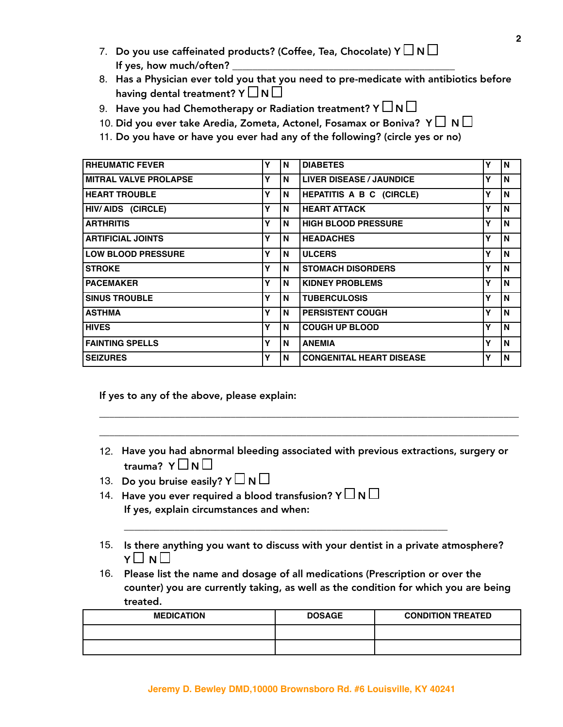- 7. Do you use caffeinated products? (Coffee, Tea, Chocolate) Y  $\Box$  N  $\Box$ If yes, how much/often?
- 8. Has a Physician ever told you that you need to pre-medicate with antibiotics before having dental treatment?  $Y \sqcup N \sqcup$
- 9. Have you had Chemotherapy or Radiation treatment? Y  $\Box$  N  $\Box$
- 10. Did you ever take Aredia, Zometa, Actonel, Fosamax or Boniva? Y  $\Box$  N  $\Box$
- 11. Do you have or have you ever had any of the following? (circle yes or no)

| <b>RHEUMATIC FEVER</b>       | Υ | N | <b>DIABETES</b>                 | ν | N |
|------------------------------|---|---|---------------------------------|---|---|
| <b>MITRAL VALVE PROLAPSE</b> | Y | N | <b>LIVER DISEASE / JAUNDICE</b> | Υ | N |
| <b>HEART TROUBLE</b>         | Υ | N | HEPATITIS A B C (CIRCLE)        | Υ | N |
| HIV/AIDS (CIRCLE)            | Y | N | <b>HEART ATTACK</b>             | Υ | N |
| <b>ARTHRITIS</b>             | Υ | N | <b>HIGH BLOOD PRESSURE</b>      | Y | N |
| <b>ARTIFICIAL JOINTS</b>     | Y | N | <b>HEADACHES</b>                | Υ | N |
| <b>LOW BLOOD PRESSURE</b>    | Y | N | <b>ULCERS</b>                   | ν | N |
| <b>STROKE</b>                | Y | N | <b>STOMACH DISORDERS</b>        | Y | N |
| <b>PACEMAKER</b>             | Y | N | <b>KIDNEY PROBLEMS</b>          | Υ | N |
| <b>SINUS TROUBLE</b>         | Y | N | <b>TUBERCULOSIS</b>             | Y | N |
| <b>ASTHMA</b>                | Υ | N | <b>PERSISTENT COUGH</b>         | Υ | N |
| <b>HIVES</b>                 | Υ | N | <b>COUGH UP BLOOD</b>           | Υ | N |
| <b>FAINTING SPELLS</b>       | Y | N | <b>ANEMIA</b>                   | v | N |
| <b>SEIZURES</b>              | Y | N | <b>CONGENITAL HEART DISEASE</b> | Υ | N |

If yes to any of the above, please explain:

12. Have you had abnormal bleeding associated with previous extractions, surgery or trauma?  $Y \Box N \Box$ 

\_\_\_\_\_\_\_\_\_\_\_\_\_\_\_\_\_\_\_\_\_\_\_\_\_\_\_\_\_\_\_\_\_\_\_\_\_\_\_\_\_\_\_\_\_\_\_\_\_\_\_\_\_\_\_\_\_\_\_\_\_\_\_\_\_\_\_\_\_\_\_\_\_\_\_\_\_\_\_\_\_\_\_

\_\_\_\_\_\_\_\_\_\_\_\_\_\_\_\_\_\_\_\_\_\_\_\_\_\_\_\_\_\_\_\_\_\_\_\_\_\_\_\_\_\_\_\_\_\_\_\_\_\_\_\_\_\_\_\_\_\_\_\_\_\_\_\_\_\_\_\_\_\_\_\_\_\_\_\_\_\_\_\_\_\_\_

- 13. Do you bruise easily?  $Y \square N \square$
- 14. Have you ever required a blood transfusion? Y  $\Box$  N  $\Box$ If yes, explain circumstances and when:
- 15. Is there anything you want to discuss with your dentist in a private atmosphere?  $Y \sqcup N \sqcup$

\_\_\_\_\_\_\_\_\_\_\_\_\_\_\_\_\_\_\_\_\_\_\_\_\_\_\_\_\_\_\_\_\_\_\_\_\_\_\_\_\_\_\_\_\_\_\_\_\_\_\_\_\_\_\_\_\_\_\_\_\_\_\_\_

16. Please list the name and dosage of all medications (Prescription or over the counter) you are currently taking, as well as the condition for which you are being treated.

| <b>MEDICATION</b> | <b>DOSAGE</b> | <b>CONDITION TREATED</b> |
|-------------------|---------------|--------------------------|
|                   |               |                          |
|                   |               |                          |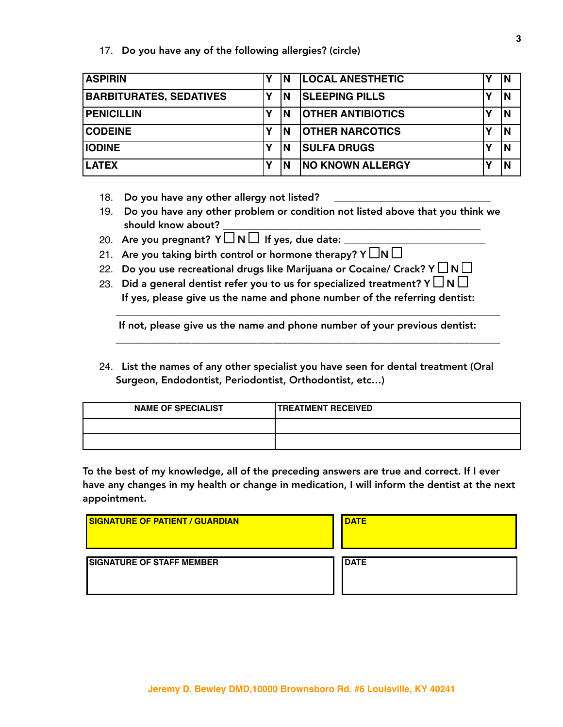#### 17. Do you have any of the following allergies? (circle)

| <b>ASPIRIN</b>                 | ΙN | <b>LOCAL ANESTHETIC</b>  | N |
|--------------------------------|----|--------------------------|---|
| <b>BARBITURATES, SEDATIVES</b> | ΙN | <b>SLEEPING PILLS</b>    | N |
| <b>PENICILLIN</b>              | ΙN | <b>OTHER ANTIBIOTICS</b> | N |
| <b>CODEINE</b>                 | ΙN | <b>OTHER NARCOTICS</b>   | N |
| <b>IODINE</b>                  | ΙN | <b>SULFA DRUGS</b>       | N |
| <b>LATEX</b>                   | ΙN | <b>NO KNOWN ALLERGY</b>  | N |

18. Do you have any other allergy not listed?

- 19. Do you have any other problem or condition not listed above that you think we should know about?
- 20. Are you pregnant?  $Y \square \cap \square$  If yes, due date:
- 21. Are you taking birth control or hormone therapy? Y  $\square$ N  $\square$
- 22. Do you use recreational drugs like Marijuana or Cocaine/ Crack? Y  $\Box$  N  $\Box$
- 23. Did a general dentist refer you to us for specialized treatment? Y  $\Box$  N  $\Box$ If yes, please give us the name and phone number of the referring dentist:

If not, please give us the name and phone number of your previous dentist:

\_\_\_\_\_\_\_\_\_\_\_\_\_\_\_\_\_\_\_\_\_\_\_\_\_\_\_\_\_\_\_\_\_\_\_\_\_\_\_\_\_\_\_\_\_\_\_\_\_\_\_\_\_\_\_\_\_\_\_\_\_\_\_\_\_\_\_\_\_\_\_\_\_\_\_\_

\_\_\_\_\_\_\_\_\_\_\_\_\_\_\_\_\_\_\_\_\_\_\_\_\_\_\_\_\_\_\_\_\_\_\_\_\_\_\_\_\_\_\_\_\_\_\_\_\_\_\_\_\_\_\_\_\_\_\_\_\_\_\_\_\_\_\_\_\_\_\_\_\_\_\_\_

24. List the names of any other specialist you have seen for dental treatment (Oral Surgeon, Endodontist, Periodontist, Orthodontist, etc…)

| <b>NAME OF SPECIALIST</b> | <b>TREATMENT RECEIVED</b> |
|---------------------------|---------------------------|
|                           |                           |
|                           |                           |

To the best of my knowledge, all of the preceding answers are true and correct. If I ever have any changes in my health or change in medication, I will inform the dentist at the next appointment.

| <b>I SIGNATURE OF PATIENT / GUARDIAN</b> | <b>I DATE</b> |
|------------------------------------------|---------------|
| <b>SIGNATURE OF STAFF MEMBER</b>         | <b>IDATE</b>  |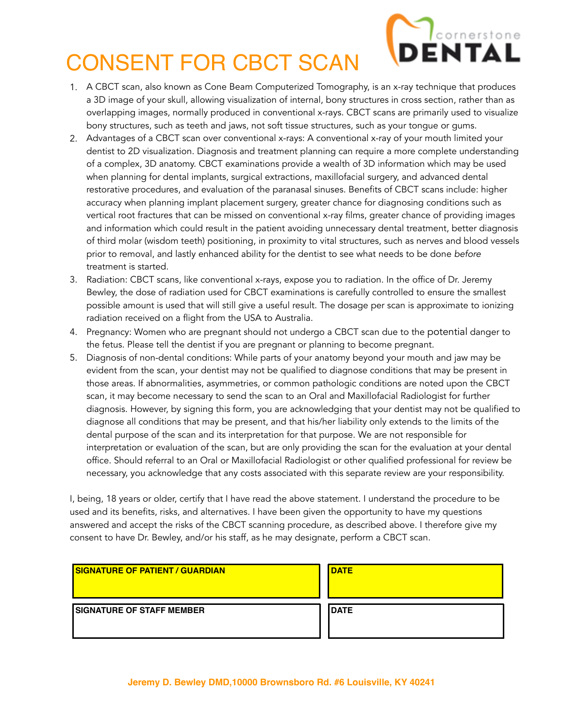

# CONSENT FOR CBCT SCAN

- 1. A CBCT scan, also known as Cone Beam Computerized Tomography, is an x-ray technique that produces a 3D image of your skull, allowing visualization of internal, bony structures in cross section, rather than as overlapping images, normally produced in conventional x-rays. CBCT scans are primarily used to visualize bony structures, such as teeth and jaws, not soft tissue structures, such as your tongue or gums.
- 2. Advantages of a CBCT scan over conventional x-rays: A conventional x-ray of your mouth limited your dentist to 2D visualization. Diagnosis and treatment planning can require a more complete understanding of a complex, 3D anatomy. CBCT examinations provide a wealth of 3D information which may be used when planning for dental implants, surgical extractions, maxillofacial surgery, and advanced dental restorative procedures, and evaluation of the paranasal sinuses. Benefits of CBCT scans include: higher accuracy when planning implant placement surgery, greater chance for diagnosing conditions such as vertical root fractures that can be missed on conventional x-ray films, greater chance of providing images and information which could result in the patient avoiding unnecessary dental treatment, better diagnosis of third molar (wisdom teeth) positioning, in proximity to vital structures, such as nerves and blood vessels prior to removal, and lastly enhanced ability for the dentist to see what needs to be done *before* treatment is started.
- 3. Radiation: CBCT scans, like conventional x-rays, expose you to radiation. In the office of Dr. Jeremy Bewley, the dose of radiation used for CBCT examinations is carefully controlled to ensure the smallest possible amount is used that will still give a useful result. The dosage per scan is approximate to ionizing radiation received on a flight from the USA to Australia.
- 4. Pregnancy: Women who are pregnant should not undergo a CBCT scan due to the potential danger to the fetus. Please tell the dentist if you are pregnant or planning to become pregnant.
- 5. Diagnosis of non-dental conditions: While parts of your anatomy beyond your mouth and jaw may be evident from the scan, your dentist may not be qualified to diagnose conditions that may be present in those areas. If abnormalities, asymmetries, or common pathologic conditions are noted upon the CBCT scan, it may become necessary to send the scan to an Oral and Maxillofacial Radiologist for further diagnosis. However, by signing this form, you are acknowledging that your dentist may not be qualified to diagnose all conditions that may be present, and that his/her liability only extends to the limits of the dental purpose of the scan and its interpretation for that purpose. We are not responsible for interpretation or evaluation of the scan, but are only providing the scan for the evaluation at your dental office. Should referral to an Oral or Maxillofacial Radiologist or other qualified professional for review be necessary, you acknowledge that any costs associated with this separate review are your responsibility.

I, being, 18 years or older, certify that I have read the above statement. I understand the procedure to be used and its benefits, risks, and alternatives. I have been given the opportunity to have my questions answered and accept the risks of the CBCT scanning procedure, as described above. I therefore give my consent to have Dr. Bewley, and/or his staff, as he may designate, perform a CBCT scan.

| <b>ISIGNATURE OF PATIENT / GUARDIAN</b> | <b>IDATE</b> |
|-----------------------------------------|--------------|
| <b>I SIGNATURE OF STAFF MEMBER</b>      | <b>IDATE</b> |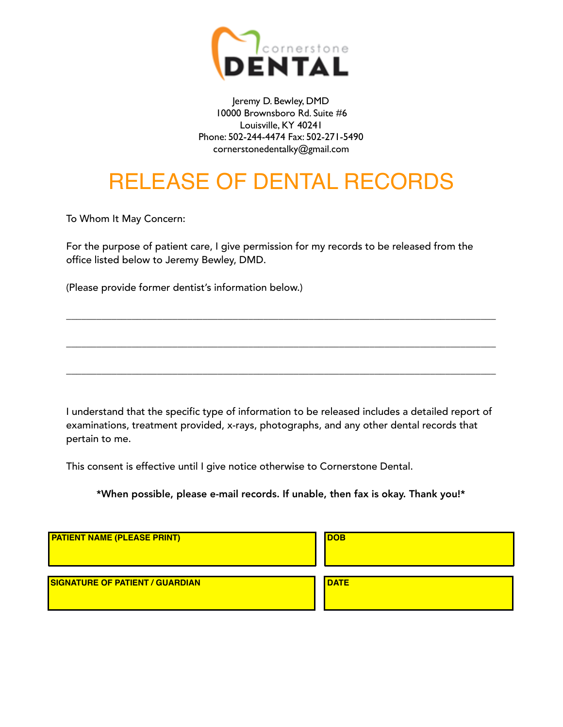

Jeremy D. Bewley, DMD 10000 Brownsboro Rd. Suite #6 Louisville, KY 40241 Phone: 502-244-4474 Fax: 502-271-5490 cornerstonedentalky@gmail.com

## RELEASE OF DENTAL RECORDS

To Whom It May Concern:

For the purpose of patient care, I give permission for my records to be released from the office listed below to Jeremy Bewley, DMD.

(Please provide former dentist's information below.)

I understand that the specific type of information to be released includes a detailed report of examinations, treatment provided, x-rays, photographs, and any other dental records that pertain to me.

\_\_\_\_\_\_\_\_\_\_\_\_\_\_\_\_\_\_\_\_\_\_\_\_\_\_\_\_\_\_\_\_\_\_\_\_\_\_\_\_\_\_\_\_\_\_\_\_\_\_\_\_\_\_\_\_\_\_\_\_\_\_\_\_\_\_\_\_\_\_\_\_\_\_\_\_\_\_\_\_\_\_\_\_\_

\_\_\_\_\_\_\_\_\_\_\_\_\_\_\_\_\_\_\_\_\_\_\_\_\_\_\_\_\_\_\_\_\_\_\_\_\_\_\_\_\_\_\_\_\_\_\_\_\_\_\_\_\_\_\_\_\_\_\_\_\_\_\_\_\_\_\_\_\_\_\_\_\_\_\_\_\_\_\_\_\_\_\_\_\_

\_\_\_\_\_\_\_\_\_\_\_\_\_\_\_\_\_\_\_\_\_\_\_\_\_\_\_\_\_\_\_\_\_\_\_\_\_\_\_\_\_\_\_\_\_\_\_\_\_\_\_\_\_\_\_\_\_\_\_\_\_\_\_\_\_\_\_\_\_\_\_\_\_\_\_\_\_\_\_\_\_\_\_\_\_

This consent is effective until I give notice otherwise to Cornerstone Dental.

\*When possible, please e-mail records. If unable, then fax is okay. Thank you!\*

| <b>PATIENT NAME (PLEASE PRINT)</b>     | <b>IDOB</b> |
|----------------------------------------|-------------|
| <b>SIGNATURE OF PATIENT / GUARDIAN</b> | <b>DATE</b> |